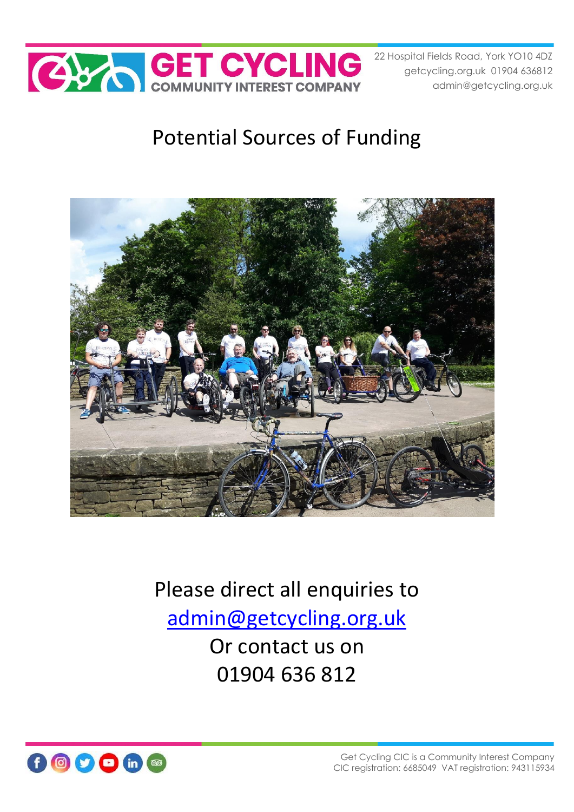

22 Hospital Fields Road, York YO10 4DZ getcycling.org.uk 01904 636812 admin@getcycling.org.uk

# Potential Sources of Funding



Please direct all enquiries to [admin@getcycling.org.uk](mailto:admin@getcycling.org.uk)

Or contact us on 01904 636 812

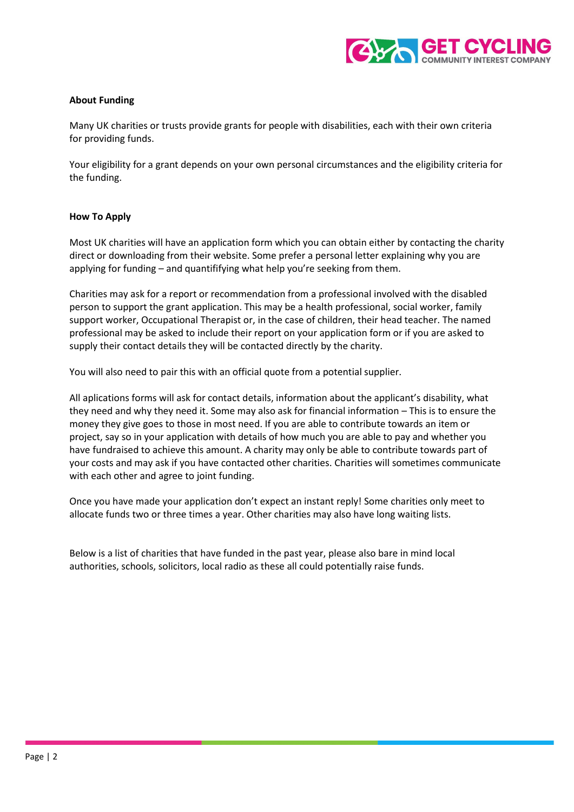

### **About Funding**

Many UK charities or trusts provide grants for people with disabilities, each with their own criteria for providing funds.

Your eligibility for a grant depends on your own personal circumstances and the eligibility criteria for the funding.

### **How To Apply**

Most UK charities will have an application form which you can obtain either by contacting the charity direct or downloading from their website. Some prefer a personal letter explaining why you are applying for funding – and quantififying what help you're seeking from them.

Charities may ask for a report or recommendation from a professional involved with the disabled person to support the grant application. This may be a health professional, social worker, family support worker, Occupational Therapist or, in the case of children, their head teacher. The named professional may be asked to include their report on your application form or if you are asked to supply their contact details they will be contacted directly by the charity.

You will also need to pair this with an official quote from a potential supplier.

All aplications forms will ask for contact details, information about the applicant's disability, what they need and why they need it. Some may also ask for financial information – This is to ensure the money they give goes to those in most need. If you are able to contribute towards an item or project, say so in your application with details of how much you are able to pay and whether you have fundraised to achieve this amount. A charity may only be able to contribute towards part of your costs and may ask if you have contacted other charities. Charities will sometimes communicate with each other and agree to joint funding.

Once you have made your application don't expect an instant reply! Some charities only meet to allocate funds two or three times a year. Other charities may also have long waiting lists.

Below is a list of charities that have funded in the past year, please also bare in mind local authorities, schools, solicitors, local radio as these all could potentially raise funds.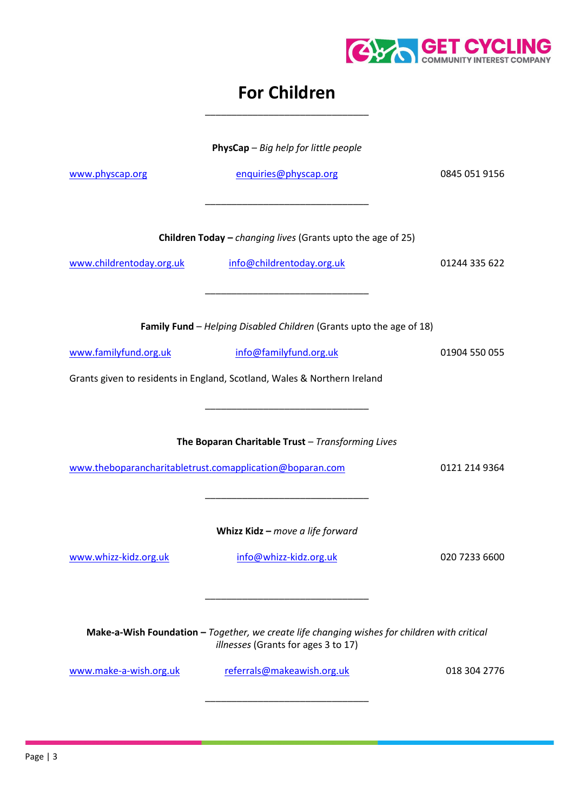

## **For Children** \_\_\_\_\_\_\_\_\_\_\_\_\_\_\_\_\_\_\_\_\_\_\_\_\_\_\_\_\_\_\_

|                          | <b>PhysCap</b> $-$ Big help for little people                                                |                                |
|--------------------------|----------------------------------------------------------------------------------------------|--------------------------------|
| www.physcap.org          | enquiries@physcap.org                                                                        | 0845 051 9156                  |
| www.childrentoday.org.uk | Children Today - changing lives (Grants upto the age of 25)<br>info@childrentoday.org.uk     | 01244 335 622                  |
|                          |                                                                                              |                                |
|                          | Family Fund - Helping Disabled Children (Grants upto the age of 18)                          |                                |
| www.familyfund.org.uk    | info@familyfund.org.uk                                                                       | 01904 550 055                  |
|                          | Grants given to residents in England, Scotland, Wales & Northern Ireland                     |                                |
|                          |                                                                                              |                                |
|                          | The Boparan Charitable Trust - Transforming Lives                                            |                                |
|                          | www.theboparancharitabletrust.comapplication@boparan.com                                     |                                |
|                          | Whizz Kidz - move a life forward                                                             |                                |
| www.whizz-kidz.org.uk    | info@whizz-kidz.org.uk                                                                       |                                |
|                          | Make-a-Wish Foundation - Together, we create life changing wishes for children with critical |                                |
|                          | illnesses (Grants for ages 3 to 17)                                                          | 0121 214 9364<br>020 7233 6600 |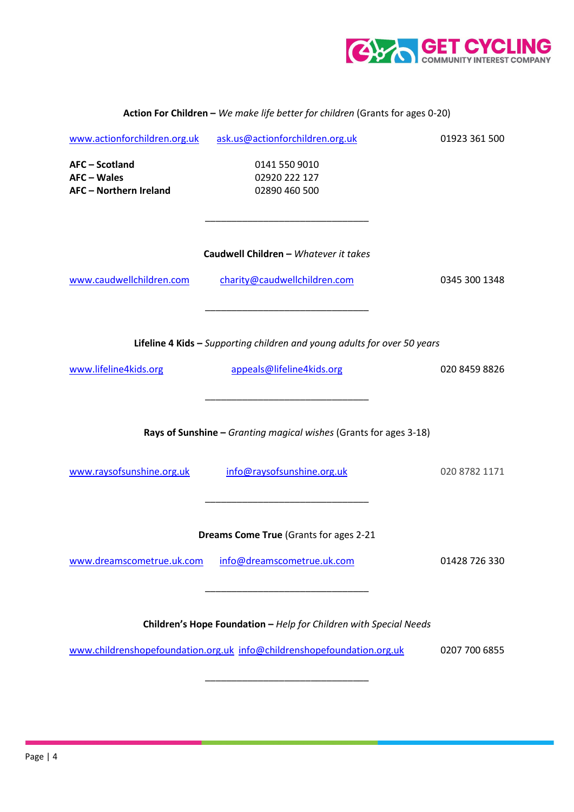

### **Action For Children –** *We make life better for children* (Grants for ages 0-20)

|                                                                | www.actionforchildren.org.uk ask.us@actionforchildren.org.uk             | 01923 361 500 |
|----------------------------------------------------------------|--------------------------------------------------------------------------|---------------|
| AFC - Scotland<br><b>AFC - Wales</b><br>AFC - Northern Ireland | 0141 550 9010<br>02920 222 127<br>02890 460 500                          |               |
|                                                                | Caudwell Children - Whatever it takes                                    |               |
| www.caudwellchildren.com                                       | charity@caudwellchildren.com                                             | 0345 300 1348 |
|                                                                | Lifeline 4 Kids - Supporting children and young adults for over 50 years |               |
| www.lifeline4kids.org                                          | appeals@lifeline4kids.org                                                | 020 8459 8826 |
|                                                                | Rays of Sunshine - Granting magical wishes (Grants for ages 3-18)        |               |
| www.raysofsunshine.org.uk                                      | info@raysofsunshine.org.uk                                               | 020 8782 1171 |
|                                                                | Dreams Come True (Grants for ages 2-21                                   |               |
|                                                                | www.dreamscometrue.uk.com info@dreamscometrue.uk.com                     | 01428 726 330 |
|                                                                | Children's Hope Foundation - Help for Children with Special Needs        |               |
|                                                                | www.childrenshopefoundation.org.uk info@childrenshopefoundation.org.uk   | 0207 700 6855 |

\_\_\_\_\_\_\_\_\_\_\_\_\_\_\_\_\_\_\_\_\_\_\_\_\_\_\_\_\_\_\_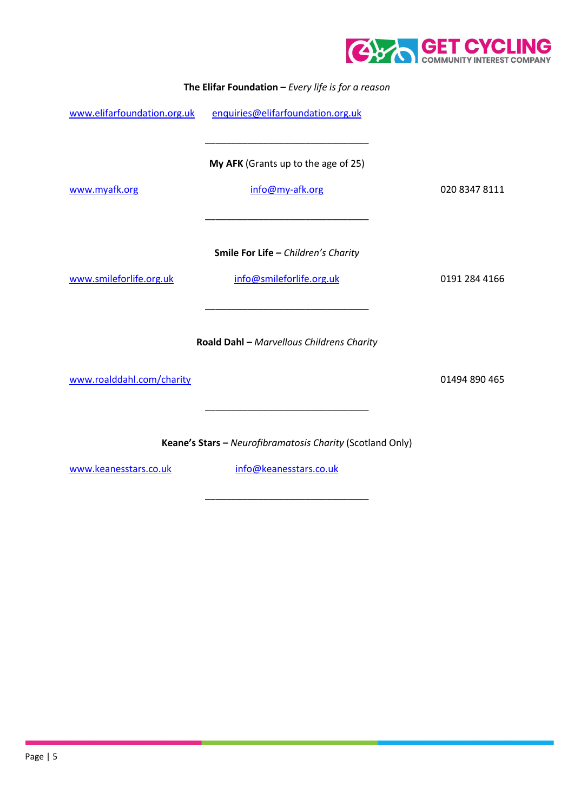

**The Elifar Foundation –** *Every life is for a reason*

[www.elifarfoundation.org.uk](http://www.elifarfoundation.org.uk/) [enquiries@elifarfoundation.org.uk](mailto:enquiries@elifarfoundation.org.uk)

**My AFK** (Grants up to the age of 25)

\_\_\_\_\_\_\_\_\_\_\_\_\_\_\_\_\_\_\_\_\_\_\_\_\_\_\_\_\_\_\_

[www.myafk.org](http://www.myafk.org/) [info@my-afk.org](mailto:info@my-afk.org) info@my-afk.org 020 8347 8111

\_\_\_\_\_\_\_\_\_\_\_\_\_\_\_\_\_\_\_\_\_\_\_\_\_\_\_\_\_\_\_

**Smile For Life –** *Children's Charity*

[www.smileforlife.org.uk](http://www.smileforlife.org.uk/) [info@smileforlife.org.uk](mailto:info@smileforlife.org.uk) 0191 284 4166

\_\_\_\_\_\_\_\_\_\_\_\_\_\_\_\_\_\_\_\_\_\_\_\_\_\_\_\_\_\_\_

**Roald Dahl –** *Marvellous Childrens Charity*

[www.roalddahl.com/charity](http://www.roalddahl.com/charity) 01494 890 465

**Keane's Stars –** *Neurofibramatosis Charity* (Scotland Only)

\_\_\_\_\_\_\_\_\_\_\_\_\_\_\_\_\_\_\_\_\_\_\_\_\_\_\_\_\_\_\_

[www.keanesstars.co.uk](http://www.keanesstars.co.uk/) [info@keanesstars.co.uk](mailto:info@keanesstars.co.uk)

\_\_\_\_\_\_\_\_\_\_\_\_\_\_\_\_\_\_\_\_\_\_\_\_\_\_\_\_\_\_\_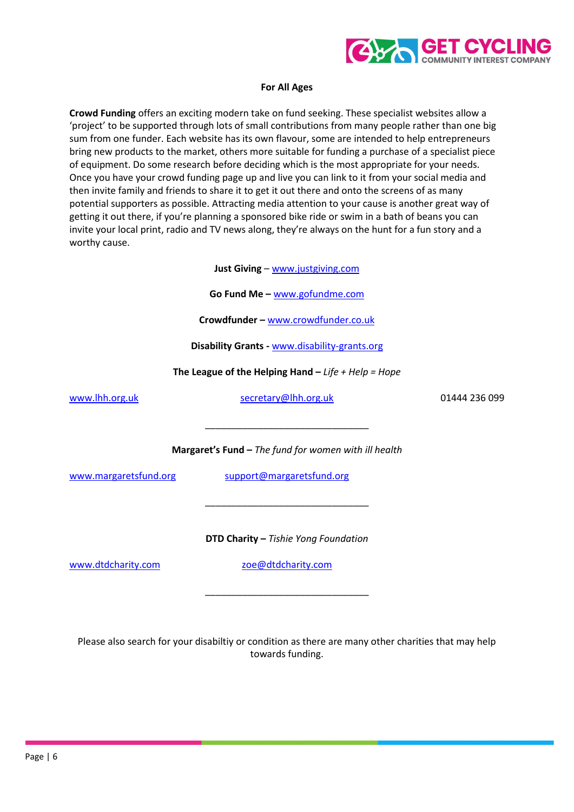

### **For All Ages**

**Crowd Funding** offers an exciting modern take on fund seeking. These specialist websites allow a 'project' to be supported through lots of small contributions from many people rather than one big sum from one funder. Each website has its own flavour, some are intended to help entrepreneurs bring new products to the market, others more suitable for funding a purchase of a specialist piece of equipment. Do some research before deciding which is the most appropriate for your needs. Once you have your crowd funding page up and live you can link to it from your social media and then invite family and friends to share it to get it out there and onto the screens of as many potential supporters as possible. Attracting media attention to your cause is another great way of getting it out there, if you're planning a sponsored bike ride or swim in a bath of beans you can invite your local print, radio and TV news along, they're always on the hunt for a fun story and a worthy cause.

**Just Giving** – [www.justgiving.com](http://www.justgiving.com/)

**Go Fund Me –** [www.gofundme.com](http://www.gofundme.com/)

**Crowdfunder –** [www.crowdfunder.co.uk](http://www.crowdfunder.co.uk/)

**Disability Grants -** [www.disability-grants.org](http://www.disability-grants.org/)

**The League of the Helping Hand –** *Life + Help = Hope*

[www.lhh.org.uk](http://www.lhh.org.uk/) [secretary@lhh.org.uk](mailto:secretary@lhh.org.uk) 01444 236 099

**Margaret's Fund –** *The fund for women with ill health*

\_\_\_\_\_\_\_\_\_\_\_\_\_\_\_\_\_\_\_\_\_\_\_\_\_\_\_\_\_\_\_

[www.margaretsfund.org](http://www.margaretsfund.org/) [support@margaretsfund.org](mailto:support@margaretsfund.org)

**DTD Charity –** *Tishie Yong Foundation*

\_\_\_\_\_\_\_\_\_\_\_\_\_\_\_\_\_\_\_\_\_\_\_\_\_\_\_\_\_\_\_

[www.dtdcharity.com](http://www.dtdcharity.com/) [zoe@dtdcharity.com](mailto:zoe@dtdcharity.com)

\_\_\_\_\_\_\_\_\_\_\_\_\_\_\_\_\_\_\_\_\_\_\_\_\_\_\_\_\_\_\_

Please also search for your disabiltiy or condition as there are many other charities that may help towards funding.